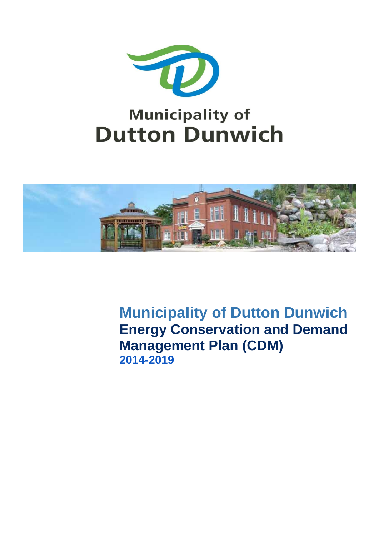



**Municipality of Dutton Dunwich Energy Conservation and Demand Management Plan (CDM) 2014-2019**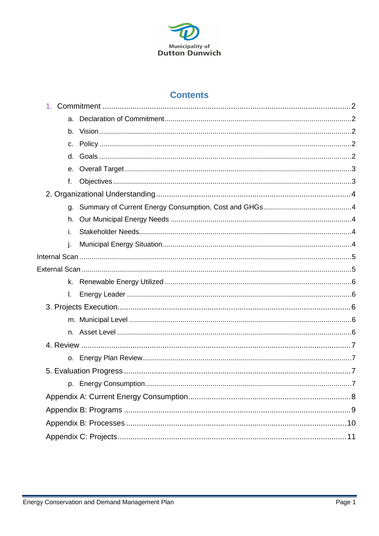

#### **Contents**

<span id="page-1-0"></span>

| $C_{1}$      |  |
|--------------|--|
|              |  |
|              |  |
| f.           |  |
|              |  |
|              |  |
| h.           |  |
| i.           |  |
| j.           |  |
|              |  |
|              |  |
|              |  |
| $\mathbf{L}$ |  |
|              |  |
|              |  |
|              |  |
|              |  |
|              |  |
|              |  |
|              |  |
|              |  |
|              |  |
|              |  |
|              |  |
|              |  |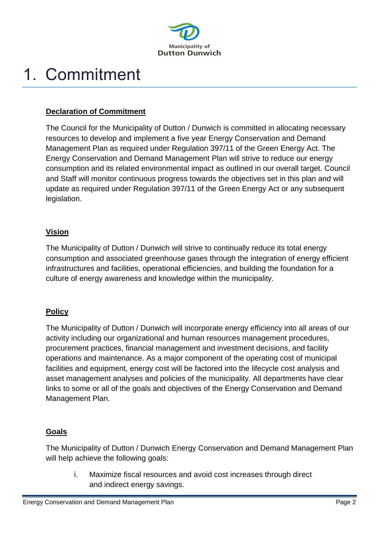

# 1. Commitment

#### <span id="page-2-0"></span>**Declaration of Commitment**

The Council for the Municipality of Dutton / Dunwich is committed in allocating necessary resources to develop and implement a five year Energy Conservation and Demand Management Plan as required under Regulation 397/11 of the Green Energy Act. The Energy Conservation and Demand Management Plan will strive to reduce our energy consumption and its related environmental impact as outlined in our overall target. Council and Staff will monitor continuous progress towards the objectives set in this plan and will update as required under Regulation 397/11 of the Green Energy Act or any subsequent legislation.

#### <span id="page-2-1"></span>**Vision**

The Municipality of Dutton / Dunwich will strive to continually reduce its total energy consumption and associated greenhouse gases through the integration of energy efficient infrastructures and facilities, operational efficiencies, and building the foundation for a culture of energy awareness and knowledge within the municipality.

#### <span id="page-2-2"></span>**Policy**

The Municipality of Dutton / Dunwich will incorporate energy efficiency into all areas of our activity including our organizational and human resources management procedures, procurement practices, financial management and investment decisions, and facility operations and maintenance. As a major component of the operating cost of municipal facilities and equipment, energy cost will be factored into the lifecycle cost analysis and asset management analyses and policies of the municipality. All departments have clear links to some or all of the goals and objectives of the Energy Conservation and Demand Management Plan.

#### <span id="page-2-3"></span>**Goals**

The Municipality of Dutton / Dunwich Energy Conservation and Demand Management Plan will help achieve the following goals:

i. Maximize fiscal resources and avoid cost increases through direct and indirect energy savings.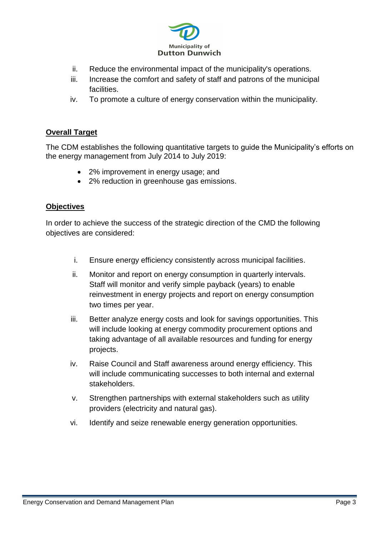

- ii. Reduce the environmental impact of the municipality's operations.
- iii. Increase the comfort and safety of staff and patrons of the municipal facilities.
- iv. To promote a culture of energy conservation within the municipality.

#### <span id="page-3-0"></span>**Overall Target**

The CDM establishes the following quantitative targets to guide the Municipality's efforts on the energy management from July 2014 to July 2019:

- 2% improvement in energy usage; and
- 2% reduction in greenhouse gas emissions.

#### <span id="page-3-1"></span>**Objectives**

In order to achieve the success of the strategic direction of the CMD the following objectives are considered:

- i. Ensure energy efficiency consistently across municipal facilities.
- ii. Monitor and report on energy consumption in quarterly intervals. Staff will monitor and verify simple payback (years) to enable reinvestment in energy projects and report on energy consumption two times per year.
- iii. Better analyze energy costs and look for savings opportunities. This will include looking at energy commodity procurement options and taking advantage of all available resources and funding for energy projects.
- iv. Raise Council and Staff awareness around energy efficiency. This will include communicating successes to both internal and external stakeholders.
- v. Strengthen partnerships with external stakeholders such as utility providers (electricity and natural gas).
- <span id="page-3-2"></span>vi. Identify and seize renewable energy generation opportunities.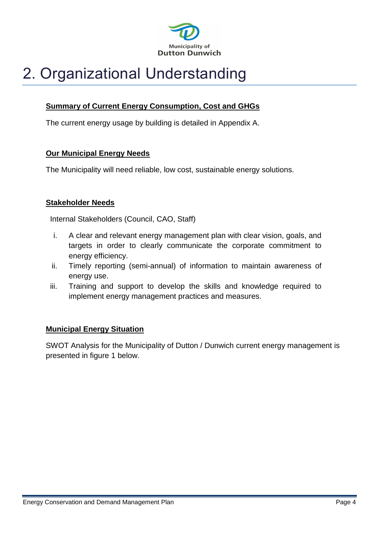

## 2. Organizational Understanding

#### <span id="page-4-0"></span>**Summary of Current Energy Consumption, Cost and GHGs**

The current energy usage by building is detailed in Appendix A.

#### <span id="page-4-1"></span>**Our Municipal Energy Needs**

The Municipality will need reliable, low cost, sustainable energy solutions.

#### <span id="page-4-2"></span>**Stakeholder Needs**

Internal Stakeholders (Council, CAO, Staff)

- i. A clear and relevant energy management plan with clear vision, goals, and targets in order to clearly communicate the corporate commitment to energy efficiency.
- ii. Timely reporting (semi-annual) of information to maintain awareness of energy use.
- iii. Training and support to develop the skills and knowledge required to implement energy management practices and measures.

#### <span id="page-4-3"></span>**Municipal Energy Situation**

SWOT Analysis for the Municipality of Dutton / Dunwich current energy management is presented in figure 1 below.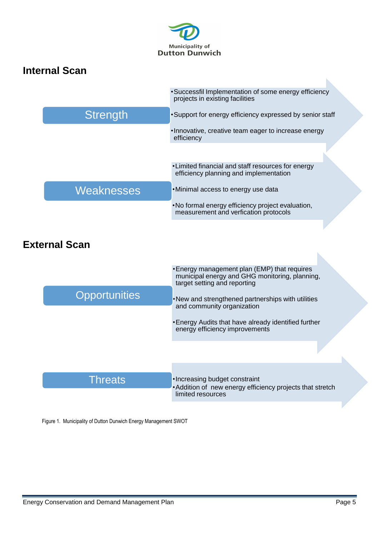

### <span id="page-5-1"></span><span id="page-5-0"></span>**Internal Scan External Scan**  •Successfil Implementation of some energy efficiency projects in existing facilities •Support for energy efficiency expressed by senior staff •Innovative, creative team eager to increase energy efficiency **Strength** •Limited financial and staff resources for energy efficiency planning and implementation •Minimal access to energy use data •No formal energy efficiency project evaluation, measurement and verfication protocols **Weaknesses** •Energy management plan (EMP) that requires municipal energy and GHG monitoring, planning, target setting and reporting •New and strengthened partnerships with utilities and community organization •Energy Audits that have already identified further energy efficiency improvements **Opportunities** •Increasing budget constraint •Addition of new energy efficiency projects that stretch limited resources **Threats**

<span id="page-5-2"></span>Figure 1. Municipality of Dutton Dunwich Energy Management SWOT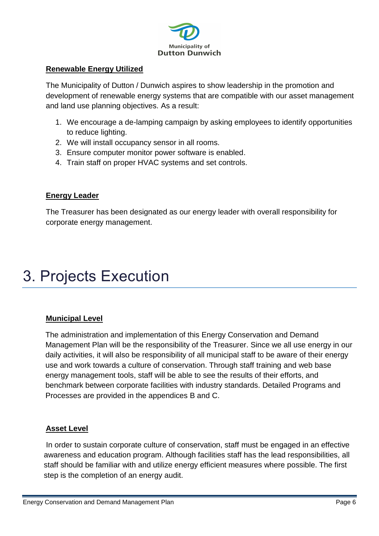

#### **Renewable Energy Utilized**

The Municipality of Dutton / Dunwich aspires to show leadership in the promotion and development of renewable energy systems that are compatible with our asset management and land use planning objectives. As a result:

- 1. We encourage a de-lamping campaign by asking employees to identify opportunities to reduce lighting.
- 2. We will install occupancy sensor in all rooms.
- 3. Ensure computer monitor power software is enabled.
- 4. Train staff on proper HVAC systems and set controls.

#### <span id="page-6-0"></span>**Energy Leader**

The Treasurer has been designated as our energy leader with overall responsibility for corporate energy management.

### <span id="page-6-1"></span>3. Projects Execution

#### <span id="page-6-2"></span>**Municipal Level**

The administration and implementation of this Energy Conservation and Demand Management Plan will be the responsibility of the Treasurer. Since we all use energy in our daily activities, it will also be responsibility of all municipal staff to be aware of their energy use and work towards a culture of conservation. Through staff training and web base energy management tools, staff will be able to see the results of their efforts, and benchmark between corporate facilities with industry standards. Detailed Programs and Processes are provided in the appendices B and C.

#### <span id="page-6-3"></span>**Asset Level**

In order to sustain corporate culture of conservation, staff must be engaged in an effective awareness and education program. Although facilities staff has the lead responsibilities, all staff should be familiar with and utilize energy efficient measures where possible. The first step is the completion of an energy audit.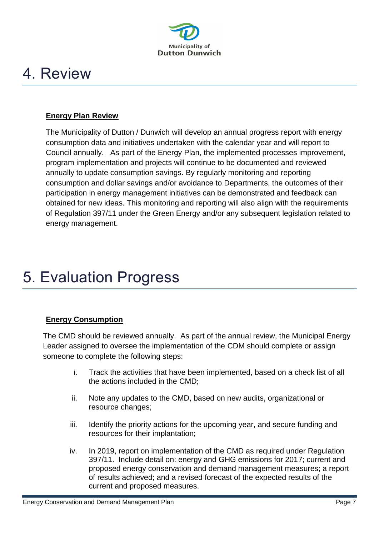

### <span id="page-7-0"></span>4. Review

#### <span id="page-7-1"></span>**Energy Plan Review**

The Municipality of Dutton / Dunwich will develop an annual progress report with energy consumption data and initiatives undertaken with the calendar year and will report to Council annually. As part of the Energy Plan, the implemented processes improvement, program implementation and projects will continue to be documented and reviewed annually to update consumption savings. By regularly monitoring and reporting consumption and dollar savings and/or avoidance to Departments, the outcomes of their participation in energy management initiatives can be demonstrated and feedback can obtained for new ideas. This monitoring and reporting will also align with the requirements of Regulation 397/11 under the Green Energy and/or any subsequent legislation related to energy management.

### <span id="page-7-3"></span><span id="page-7-2"></span>5. Evaluation Progress

#### **Energy Consumption**

The CMD should be reviewed annually. As part of the annual review, the Municipal Energy Leader assigned to oversee the implementation of the CDM should complete or assign someone to complete the following steps:

- i. Track the activities that have been implemented, based on a check list of all the actions included in the CMD;
- ii. Note any updates to the CMD, based on new audits, organizational or resource changes;
- iii. Identify the priority actions for the upcoming year, and secure funding and resources for their implantation;
- iv. In 2019, report on implementation of the CMD as required under Regulation 397/11. Include detail on: energy and GHG emissions for 2017; current and proposed energy conservation and demand management measures; a report of results achieved; and a revised forecast of the expected results of the current and proposed measures.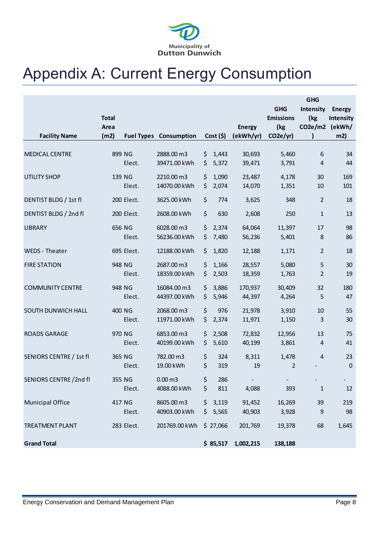

## <span id="page-8-0"></span>Appendix A: Current Energy Consumption

|                         |              |                   |                    |             |               |                       | <b>GHG</b>     |               |
|-------------------------|--------------|-------------------|--------------------|-------------|---------------|-----------------------|----------------|---------------|
|                         |              |                   |                    |             |               | <b>GHG</b>            | Intensity      | <b>Energy</b> |
|                         | <b>Total</b> |                   |                    |             |               | <b>Emissions</b>      | (kg            | Intensity     |
|                         | Area         |                   |                    |             | <b>Energy</b> | (kg                   | CO2e/m2 (ekWh/ |               |
| <b>Facility Name</b>    | (m2)         | <b>Fuel Types</b> | Consumption        | $Cost($ \$) | (ekWh/yr)     | CO <sub>2e</sub> /yr) |                | m2)           |
|                         |              |                   |                    |             |               |                       |                |               |
| <b>MEDICAL CENTRE</b>   | 899 NG       |                   | 2888.00 m3         | \$<br>1,443 | 30,693        | 5,460                 | 6              | 34            |
|                         |              | Elect.            | 39471.00 kWh       | \$<br>5,372 | 39,471        | 3,791                 | 4              | 44            |
| <b>UTILITY SHOP</b>     | 139 NG       |                   | 2210.00 m3         | \$<br>1,090 | 23,487        | 4,178                 | 30             | 169           |
|                         |              | Elect.            | 14070.00 kWh       | \$<br>2,074 | 14,070        | 1,351                 | 10             | 101           |
|                         |              | 200 Elect.        |                    |             |               |                       |                |               |
| DENTIST BLDG / 1st fl   |              |                   | 3625.00 kWh        | \$<br>774   | 3,625         | 348                   | 2              | 18            |
| DENTIST BLDG / 2nd fl   |              | 200 Elect.        | 2608.00 kWh        | \$<br>630   | 2,608         | 250                   | $\mathbf{1}$   | 13            |
| <b>LIBRARY</b>          | 656 NG       |                   | 6028.00 m3         | \$<br>2,374 | 64,064        | 11,397                | 17             | 98            |
|                         |              | Elect.            | 56236.00 kWh       | \$<br>7,480 | 56,236        | 5,401                 | 8              | 86            |
|                         |              |                   |                    |             |               |                       |                |               |
| WEDS - Theater          |              | 695 Elect.        | 12188.00 kWh       | \$<br>1,820 | 12,188        | 1,171                 | $\overline{2}$ | 18            |
| <b>FIRE STATION</b>     | 948 NG       |                   | 2687.00 m3         | \$<br>1,166 | 28,557        | 5,080                 | 5              | 30            |
|                         |              | Elect.            | 18359.00 kWh       | \$<br>2,503 | 18,359        | 1,763                 | 2              | 19            |
| <b>COMMUNITY CENTRE</b> | 948 NG       |                   | 16084.00 m3        | \$<br>3,886 | 170,937       | 30,409                | 32             | 180           |
|                         |              | Elect.            | 44397.00 kWh       | \$<br>5,946 | 44,397        | 4,264                 | 5              | 47            |
|                         |              |                   |                    |             |               |                       |                |               |
| SOUTH DUNWICH HALL      | 400 NG       |                   | 2068.00 m3         | \$<br>976   | 21,978        | 3,910                 | 10             | 55            |
|                         |              | Elect.            | 11971.00 kWh       | \$<br>2,374 | 11,971        | 1,150                 | 3              | 30            |
| <b>ROADS GARAGE</b>     | 970 NG       |                   | 6853.00 m3         | \$<br>2,508 | 72,832        | 12,956                | 13             | 75            |
|                         |              | Elect.            | 40199.00 kWh       | \$<br>5,610 | 40,199        | 3,861                 | 4              | 41            |
| SENIORS CENTRE / 1st fl | 365 NG       |                   | 782.00 m3          | \$<br>324   | 8,311         | 1,478                 | 4              | 23            |
|                         |              | Elect.            | 19.00 kWh          | \$<br>319   | 19            | $\overline{2}$        |                | $\mathbf 0$   |
|                         |              |                   |                    |             |               |                       |                |               |
| SENIORS CENTRE /2nd fl  | 355 NG       |                   | 0.00 <sub>m3</sub> | \$<br>286   |               |                       |                |               |
|                         |              | Elect.            | 4088.00 kWh        | \$<br>811   | 4,088         | 393                   | $\mathbf{1}$   | 12            |
| Municipal Office        | 417 NG       |                   | 8605.00 m3         | \$3,119     | 91,452        | 16,269                | 39             | 219           |
|                         |              | Elect.            | 40903.00 kWh       | \$5,565     | 40,903        | 3,928                 | 9              | 98            |
| <b>TREATMENT PLANT</b>  |              | 283 Elect.        | 201769.00 kWh      | \$27,066    | 201,769       | 19,378                | 68             | 1,645         |
|                         |              |                   |                    |             |               |                       |                |               |
| <b>Grand Total</b>      |              |                   |                    | \$85,517    | 1,002,215     | 138,188               |                |               |
|                         |              |                   |                    |             |               |                       |                |               |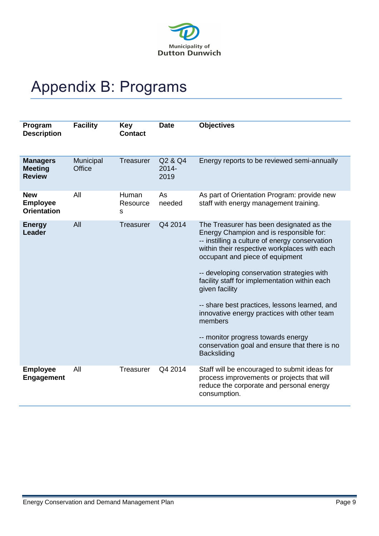

## Appendix B: Programs

| Program<br><b>Description</b>                       | <b>Facility</b>     | <b>Key</b><br><b>Contact</b> | <b>Date</b>                 | <b>Objectives</b>                                                                                                                                                                                                                                                                                                                                                                                                                                                                                                                                                 |
|-----------------------------------------------------|---------------------|------------------------------|-----------------------------|-------------------------------------------------------------------------------------------------------------------------------------------------------------------------------------------------------------------------------------------------------------------------------------------------------------------------------------------------------------------------------------------------------------------------------------------------------------------------------------------------------------------------------------------------------------------|
| <b>Managers</b><br><b>Meeting</b><br><b>Review</b>  | Municipal<br>Office | <b>Treasurer</b>             | Q2 & Q4<br>$2014 -$<br>2019 | Energy reports to be reviewed semi-annually                                                                                                                                                                                                                                                                                                                                                                                                                                                                                                                       |
| <b>New</b><br><b>Employee</b><br><b>Orientation</b> | All                 | Human<br>Resource<br>s       | As<br>needed                | As part of Orientation Program: provide new<br>staff with energy management training.                                                                                                                                                                                                                                                                                                                                                                                                                                                                             |
| <b>Energy</b><br><b>Leader</b>                      | All                 | <b>Treasurer</b>             | Q4 2014                     | The Treasurer has been designated as the<br>Energy Champion and is responsible for:<br>-- instilling a culture of energy conservation<br>within their respective workplaces with each<br>occupant and piece of equipment<br>-- developing conservation strategies with<br>facility staff for implementation within each<br>given facility<br>-- share best practices, lessons learned, and<br>innovative energy practices with other team<br>members<br>-- monitor progress towards energy<br>conservation goal and ensure that there is no<br><b>Backsliding</b> |
| <b>Employee</b><br><b>Engagement</b>                | All                 | Treasurer                    | Q4 2014                     | Staff will be encouraged to submit ideas for<br>process improvements or projects that will<br>reduce the corporate and personal energy<br>consumption.                                                                                                                                                                                                                                                                                                                                                                                                            |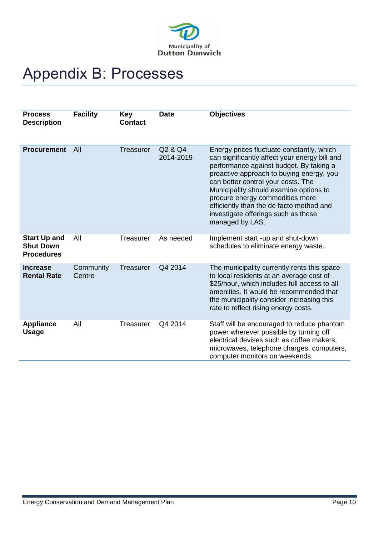

## <span id="page-10-0"></span>Appendix B: Processes

| <b>Process</b><br><b>Description</b>                         | <b>Facility</b>     | Key<br><b>Contact</b> | <b>Date</b>          | <b>Objectives</b>                                                                                                                                                                                                                                                                                                                                                                                          |
|--------------------------------------------------------------|---------------------|-----------------------|----------------------|------------------------------------------------------------------------------------------------------------------------------------------------------------------------------------------------------------------------------------------------------------------------------------------------------------------------------------------------------------------------------------------------------------|
| <b>Procurement</b>                                           | All                 | <b>Treasurer</b>      | Q2 & Q4<br>2014-2019 | Energy prices fluctuate constantly, which<br>can significantly affect your energy bill and<br>performance against budget. By taking a<br>proactive approach to buying energy, you<br>can better control your costs. The<br>Municipality should examine options to<br>procure energy commodities more<br>efficiently than the de facto method and<br>investigate offerings such as those<br>managed by LAS. |
| <b>Start Up and</b><br><b>Shut Down</b><br><b>Procedures</b> | All                 | Treasurer             | As needed            | Implement start -up and shut-down<br>schedules to eliminate energy waste.                                                                                                                                                                                                                                                                                                                                  |
| <b>Increase</b><br><b>Rental Rate</b>                        | Community<br>Centre | <b>Treasurer</b>      | Q4 2014              | The municipality currently rents this space<br>to local residents at an average cost of<br>\$25/hour, which includes full access to all<br>amenities. It would be recommended that<br>the municipality consider increasing this<br>rate to reflect rising energy costs.                                                                                                                                    |
| <b>Appliance</b><br><b>Usage</b>                             | All                 | Treasurer             | Q4 2014              | Staff will be encouraged to reduce phantom<br>power wherever possible by turning off<br>electrical devises such as coffee makers,<br>microwaves, telephone charges, computers,<br>computer monitors on weekends.                                                                                                                                                                                           |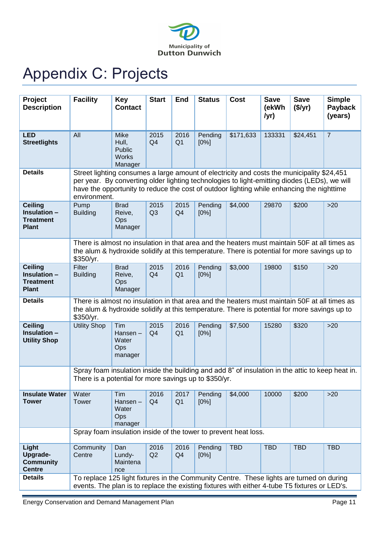

# <span id="page-11-0"></span>Appendix C: Projects

| Project<br><b>Description</b>                                      | <b>Facility</b>                                                                                                                                                                                           | <b>Key</b><br><b>Contact</b>                                                                                                                                                                                                                                                                            | <b>Start</b>           | <b>End</b>             | <b>Status</b>   | <b>Cost</b> | <b>Save</b><br>(ekWh<br>/yr) | <b>Save</b><br>$(\frac{5}{yr})$ | <b>Simple</b><br>Payback<br>(years) |  |  |  |  |
|--------------------------------------------------------------------|-----------------------------------------------------------------------------------------------------------------------------------------------------------------------------------------------------------|---------------------------------------------------------------------------------------------------------------------------------------------------------------------------------------------------------------------------------------------------------------------------------------------------------|------------------------|------------------------|-----------------|-------------|------------------------------|---------------------------------|-------------------------------------|--|--|--|--|
| <b>LED</b><br><b>Streetlights</b>                                  | All                                                                                                                                                                                                       | <b>Mike</b><br>Hull,<br>Public<br><b>Works</b><br>Manager                                                                                                                                                                                                                                               | 2015<br>Q <sub>4</sub> | 2016<br>Q <sub>1</sub> | Pending<br>[0%] | \$171,633   | 133331                       | \$24,451                        | $\overline{7}$                      |  |  |  |  |
| <b>Details</b>                                                     |                                                                                                                                                                                                           | Street lighting consumes a large amount of electricity and costs the municipality \$24,451<br>per year. By converting older lighting technologies to light-emitting diodes (LEDs), we will<br>have the opportunity to reduce the cost of outdoor lighting while enhancing the nighttime<br>environment. |                        |                        |                 |             |                              |                                 |                                     |  |  |  |  |
| <b>Ceiling</b><br>Insulation -<br><b>Treatment</b><br><b>Plant</b> | Pump<br><b>Building</b>                                                                                                                                                                                   | <b>Brad</b><br>Reive,<br>Ops<br>Manager                                                                                                                                                                                                                                                                 | 2015<br>Q <sub>3</sub> | 2015<br>Q <sub>4</sub> | Pending<br>[0%] | \$4,000     | 29870                        | \$200                           | $>20$                               |  |  |  |  |
|                                                                    | There is almost no insulation in that area and the heaters must maintain 50F at all times as<br>the alum & hydroxide solidify at this temperature. There is potential for more savings up to<br>\$350/yr. |                                                                                                                                                                                                                                                                                                         |                        |                        |                 |             |                              |                                 |                                     |  |  |  |  |
| <b>Ceiling</b><br>Insulation -<br><b>Treatment</b><br><b>Plant</b> | Filter<br><b>Building</b>                                                                                                                                                                                 | <b>Brad</b><br>Reive,<br>Ops<br>Manager                                                                                                                                                                                                                                                                 | 2015<br>Q <sub>4</sub> | 2016<br>Q <sub>1</sub> | Pending<br>[0%] | \$3,000     | 19800                        | \$150                           | $>20$                               |  |  |  |  |
| <b>Details</b>                                                     | There is almost no insulation in that area and the heaters must maintain 50F at all times as<br>the alum & hydroxide solidify at this temperature. There is potential for more savings up to<br>\$350/yr. |                                                                                                                                                                                                                                                                                                         |                        |                        |                 |             |                              |                                 |                                     |  |  |  |  |
| <b>Ceiling</b><br>Insulation -<br><b>Utility Shop</b>              | <b>Utility Shop</b>                                                                                                                                                                                       | Tim<br>Hansen-<br>Water<br>Ops<br>manager                                                                                                                                                                                                                                                               | 2015<br>Q <sub>4</sub> | 2016<br>Q <sub>1</sub> | Pending<br>[0%] | \$7,500     | 15280                        | \$320                           | $>20$                               |  |  |  |  |
|                                                                    | Spray foam insulation inside the building and add 8" of insulation in the attic to keep heat in.<br>There is a potential for more savings up to \$350/yr.                                                 |                                                                                                                                                                                                                                                                                                         |                        |                        |                 |             |                              |                                 |                                     |  |  |  |  |
| <b>Insulate Water</b><br><b>Tower</b>                              | Water<br>Tower                                                                                                                                                                                            | Tim<br>Hansen-<br>Water<br>Ops<br>manager                                                                                                                                                                                                                                                               | 2016<br>Q4             | 2017<br>Q <sub>1</sub> | Pending<br>[0%] | \$4,000     | 10000                        | \$200                           | $>20$                               |  |  |  |  |
|                                                                    | Spray foam insulation inside of the tower to prevent heat loss.                                                                                                                                           |                                                                                                                                                                                                                                                                                                         |                        |                        |                 |             |                              |                                 |                                     |  |  |  |  |
| Light<br><b>Upgrade-</b><br><b>Community</b><br><b>Centre</b>      | Community<br>Centre                                                                                                                                                                                       | Dan<br>Lundy-<br>Maintena<br>nce                                                                                                                                                                                                                                                                        | 2016<br>Q2             | 2016<br>Q4             | Pending<br>[0%] | <b>TBD</b>  | <b>TBD</b>                   | <b>TBD</b>                      | <b>TBD</b>                          |  |  |  |  |
| <b>Details</b>                                                     | To replace 125 light fixtures in the Community Centre. These lights are turned on during<br>events. The plan is to replace the existing fixtures with either 4-tube T5 fixtures or LED's.                 |                                                                                                                                                                                                                                                                                                         |                        |                        |                 |             |                              |                                 |                                     |  |  |  |  |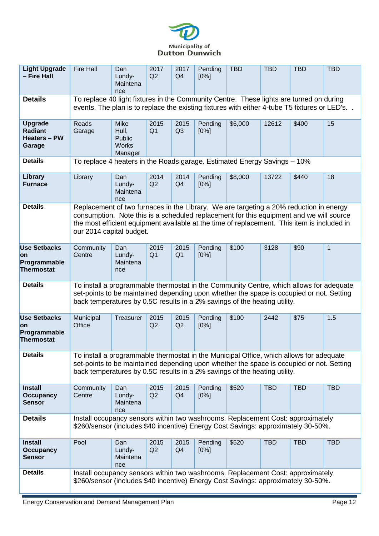

| <b>Light Upgrade</b><br>- Fire Hall                               | <b>Fire Hall</b>                                                                                                                                                                                                                                                                                             | Dan<br>Lundy-<br>Maintena<br>nce                   | 2017<br>Q2             | 2017<br>Q4             | Pending<br>[0%]    | <b>TBD</b> | <b>TBD</b> | <b>TBD</b> | <b>TBD</b>   |  |  |  |
|-------------------------------------------------------------------|--------------------------------------------------------------------------------------------------------------------------------------------------------------------------------------------------------------------------------------------------------------------------------------------------------------|----------------------------------------------------|------------------------|------------------------|--------------------|------------|------------|------------|--------------|--|--|--|
| <b>Details</b>                                                    | To replace 40 light fixtures in the Community Centre. These lights are turned on during<br>events. The plan is to replace the existing fixtures with either 4-tube T5 fixtures or LED's. .                                                                                                                   |                                                    |                        |                        |                    |            |            |            |              |  |  |  |
| <b>Upgrade</b><br><b>Radiant</b><br><b>Heaters - PW</b><br>Garage | Roads<br>Garage                                                                                                                                                                                                                                                                                              | Mike<br>Hull,<br>Public<br><b>Works</b><br>Manager | 2015<br>Q <sub>1</sub> | 2015<br>Q <sub>3</sub> | Pending<br>$[0\%]$ | \$6,000    | 12612      | \$400      | 15           |  |  |  |
| <b>Details</b>                                                    | To replace 4 heaters in the Roads garage. Estimated Energy Savings - 10%                                                                                                                                                                                                                                     |                                                    |                        |                        |                    |            |            |            |              |  |  |  |
| Library<br><b>Furnace</b>                                         | Library                                                                                                                                                                                                                                                                                                      | Dan<br>Lundy-<br>Maintena<br>nce                   | 2014<br>Q2             | 2014<br>Q4             | Pending<br>$[0\%]$ | \$8,000    | 13722      | \$440      | 18           |  |  |  |
| <b>Details</b>                                                    | Replacement of two furnaces in the Library. We are targeting a 20% reduction in energy<br>consumption. Note this is a scheduled replacement for this equipment and we will source<br>the most efficient equipment available at the time of replacement. This item is included in<br>our 2014 capital budget. |                                                    |                        |                        |                    |            |            |            |              |  |  |  |
| <b>Use Setbacks</b><br>on<br>Programmable<br>Thermostat           | Community<br>Centre                                                                                                                                                                                                                                                                                          | Dan<br>Lundy-<br>Maintena<br>nce                   | 2015<br>Q <sub>1</sub> | 2015<br>Q <sub>1</sub> | Pending<br>[0%]    | \$100      | 3128       | \$90       | $\mathbf{1}$ |  |  |  |
| <b>Details</b>                                                    | To install a programmable thermostat in the Community Centre, which allows for adequate<br>set-points to be maintained depending upon whether the space is occupied or not. Setting<br>back temperatures by 0.5C results in a 2% savings of the heating utility.                                             |                                                    |                        |                        |                    |            |            |            |              |  |  |  |
| <b>Use Setbacks</b><br><b>on</b><br>Programmable<br>Thermostat    | Municipal<br>Office                                                                                                                                                                                                                                                                                          | Treasurer                                          | 2015<br>Q2             | 2015<br>Q2             | Pending<br>[0%]    | \$100      | 2442       | \$75       | 1.5          |  |  |  |
| <b>Details</b>                                                    | To install a programmable thermostat in the Municipal Office, which allows for adequate<br>set-points to be maintained depending upon whether the space is occupied or not. Setting<br>back temperatures by 0.5C results in a 2% savings of the heating utility.                                             |                                                    |                        |                        |                    |            |            |            |              |  |  |  |
| <b>Install</b><br><b>Occupancy</b><br><b>Sensor</b>               | Community<br>Centre                                                                                                                                                                                                                                                                                          | Dan<br>Lundy-<br>Maintena<br>nce                   | 2015<br>Q2             | 2015<br>Q4             | Pending<br>[0%]    | \$520      | <b>TBD</b> | <b>TBD</b> | <b>TBD</b>   |  |  |  |
| <b>Details</b>                                                    | Install occupancy sensors within two washrooms. Replacement Cost: approximately<br>\$260/sensor (includes \$40 incentive) Energy Cost Savings: approximately 30-50%.                                                                                                                                         |                                                    |                        |                        |                    |            |            |            |              |  |  |  |
| <b>Install</b><br><b>Occupancy</b><br><b>Sensor</b>               | Pool                                                                                                                                                                                                                                                                                                         | Dan<br>Lundy-<br>Maintena<br>nce                   | 2015<br>Q2             | 2015<br>Q4             | Pending<br>[0%]    | \$520      | <b>TBD</b> | <b>TBD</b> | <b>TBD</b>   |  |  |  |
| <b>Details</b>                                                    | Install occupancy sensors within two washrooms. Replacement Cost: approximately<br>\$260/sensor (includes \$40 incentive) Energy Cost Savings: approximately 30-50%.                                                                                                                                         |                                                    |                        |                        |                    |            |            |            |              |  |  |  |